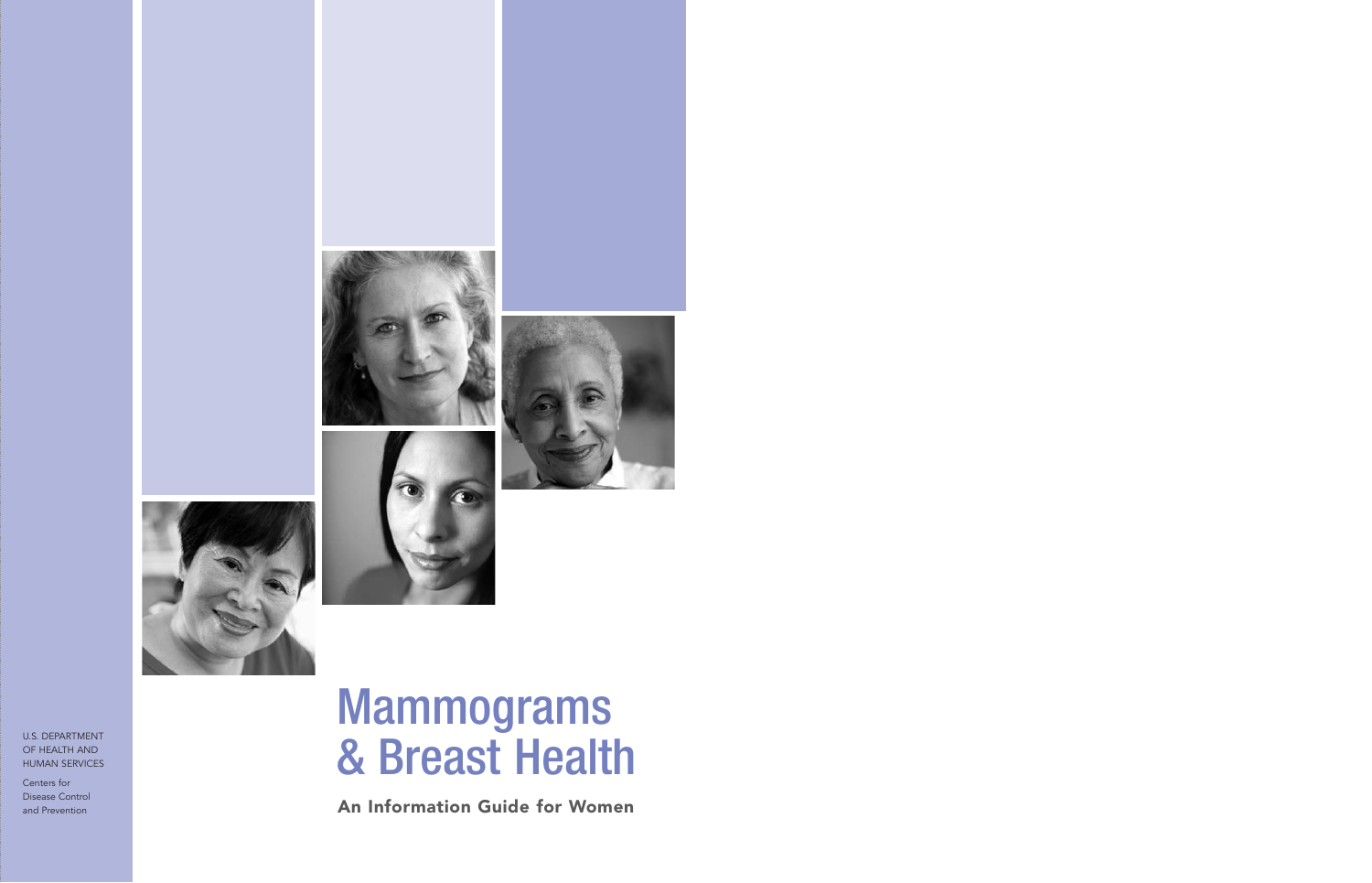







# Mammograms & Breast Health

An Information Guide for Women

U.S. DEPARTMENT OF HEALTH AND HUMAN SERVICES

Centers for Disease Control and Prevention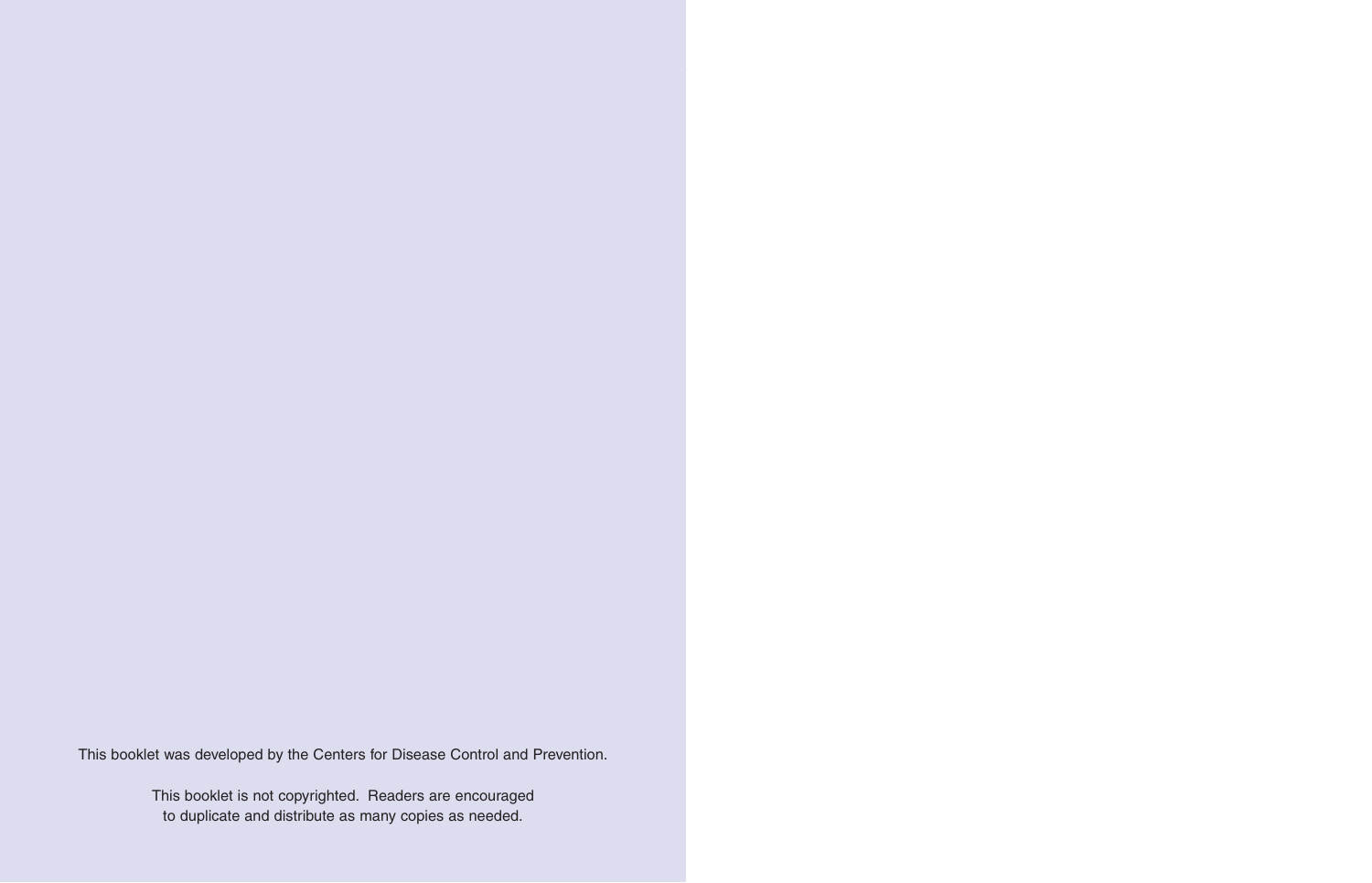This booklet was developed by the Centers for Disease Control and Prevention.

This booklet is not copyrighted. Readers are encouraged to duplicate and distribute as many copies as needed.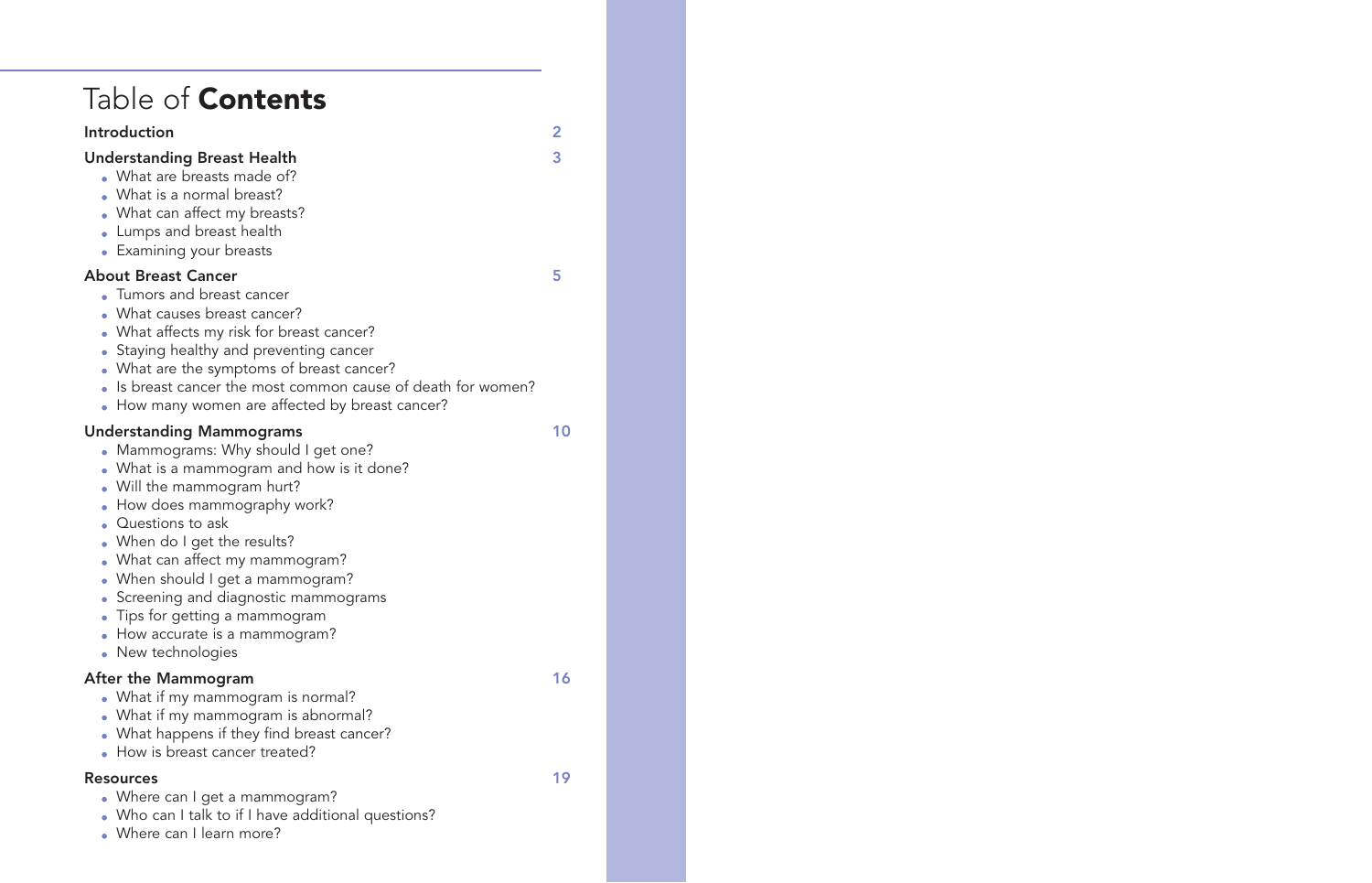| Table of <b>Contents</b>                                                                                                                                                                                                                                                                                                                                                                                                                             |     |
|------------------------------------------------------------------------------------------------------------------------------------------------------------------------------------------------------------------------------------------------------------------------------------------------------------------------------------------------------------------------------------------------------------------------------------------------------|-----|
| Introduction                                                                                                                                                                                                                                                                                                                                                                                                                                         | 2   |
| <b>Understanding Breast Health</b><br>• What are breasts made of?<br>• What is a normal breast?<br>• What can affect my breasts?<br>Lumps and breast health<br>• Examining your breasts                                                                                                                                                                                                                                                              | 3   |
| <b>About Breast Cancer</b><br>• Tumors and breast cancer<br>• What causes breast cancer?<br>• What affects my risk for breast cancer?<br>• Staying healthy and preventing cancer<br>• What are the symptoms of breast cancer?<br>Is breast cancer the most common cause of death for women?<br>• How many women are affected by breast cancer?                                                                                                       | 5   |
| <b>Understanding Mammograms</b><br>• Mammograms: Why should I get one?<br>• What is a mammogram and how is it done?<br>• Will the mammogram hurt?<br>How does mammography work?<br>Questions to ask<br>When do I get the results?<br>• What can affect my mammogram?<br>• When should I get a mammogram?<br>• Screening and diagnostic mammograms<br>Tips for getting a mammogram<br>$\bullet$<br>How accurate is a mammogram?<br>• New technologies | 10  |
| After the Mammogram<br>• What if my mammogram is normal?<br>What if my mammogram is abnormal?<br>What happens if they find breast cancer?<br>How is breast cancer treated?                                                                                                                                                                                                                                                                           | 16  |
| <b>Resources</b><br>• Where can I get a mammogram?<br>• Who can I talk to if I have additional questions?<br>• Where can I learn more?                                                                                                                                                                                                                                                                                                               | 19. |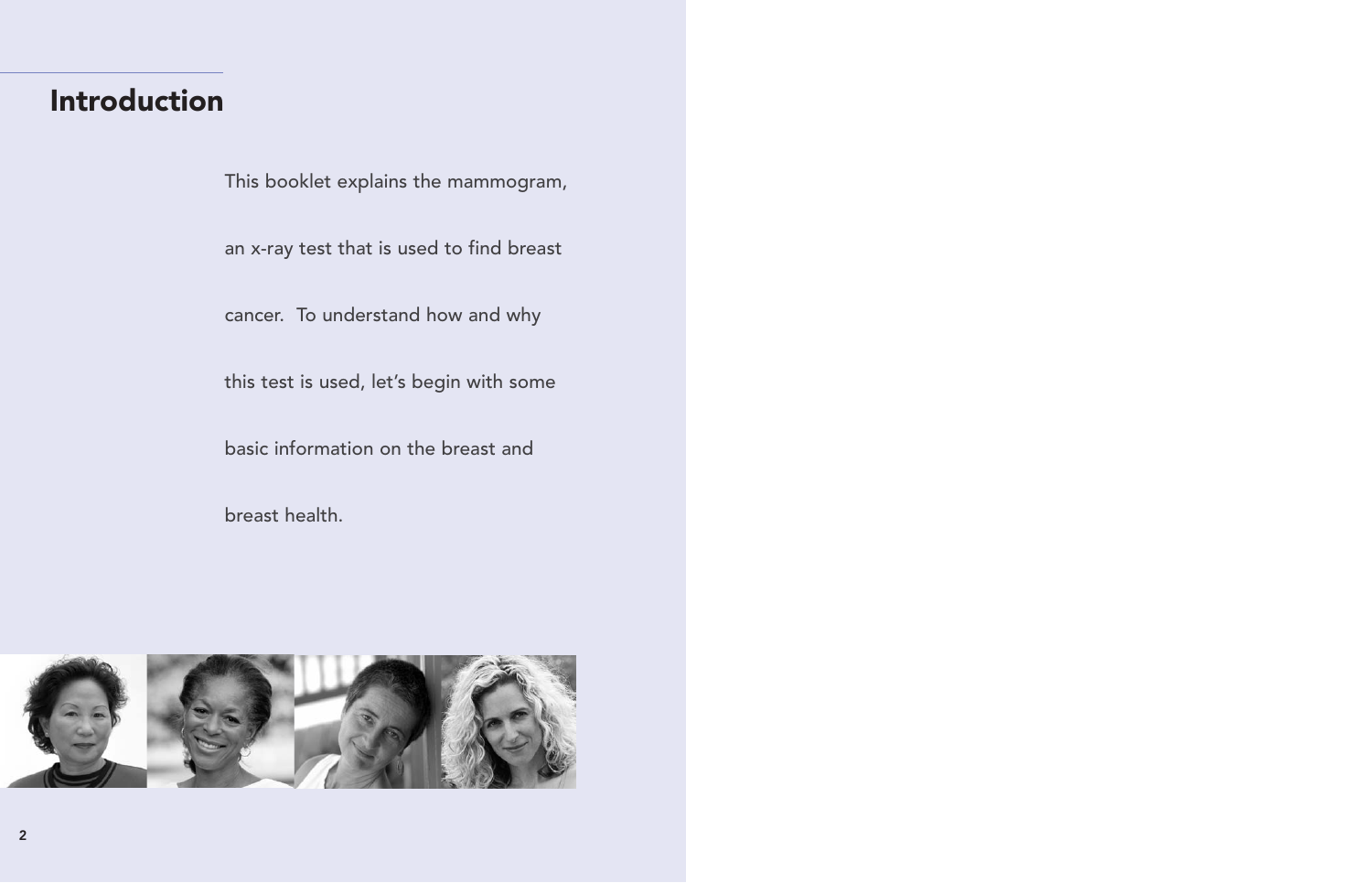# <span id="page-3-0"></span>Introduction

This booklet explains the mammogram,

an x-ray test that is used to find breast

cancer. To understand how and why

this test is used, let's begin with some

basic information on the breast and

breast health.

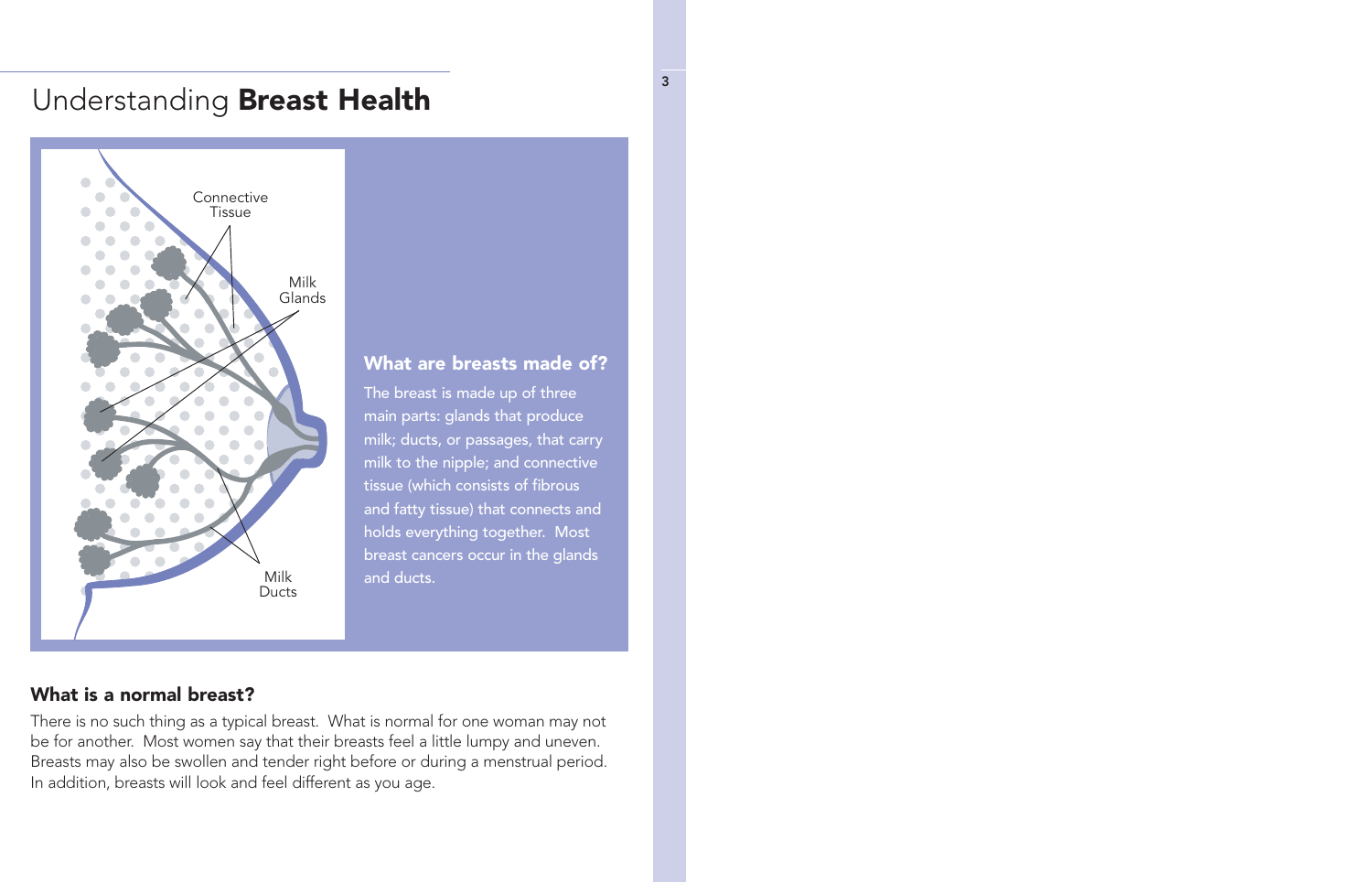# <span id="page-4-0"></span>Understanding Breast Health



#### What are breasts made of?

The breast is made up of three main parts: glands that produce milk; ducts, or passages, that carry milk to the nipple; and connective tissue (which consists of fibrous and fatty tissue) that connects and holds everything together. Most breast cancers occur in the glands and ducts.

#### What is a normal breast?

There is no such thing as a typical breast. What is normal for one woman may not be for another. Most women say that their breasts feel a little lumpy and uneven. Breasts may also be swollen and tender right before or during a menstrual period. In addition, breasts will look and feel different as you age.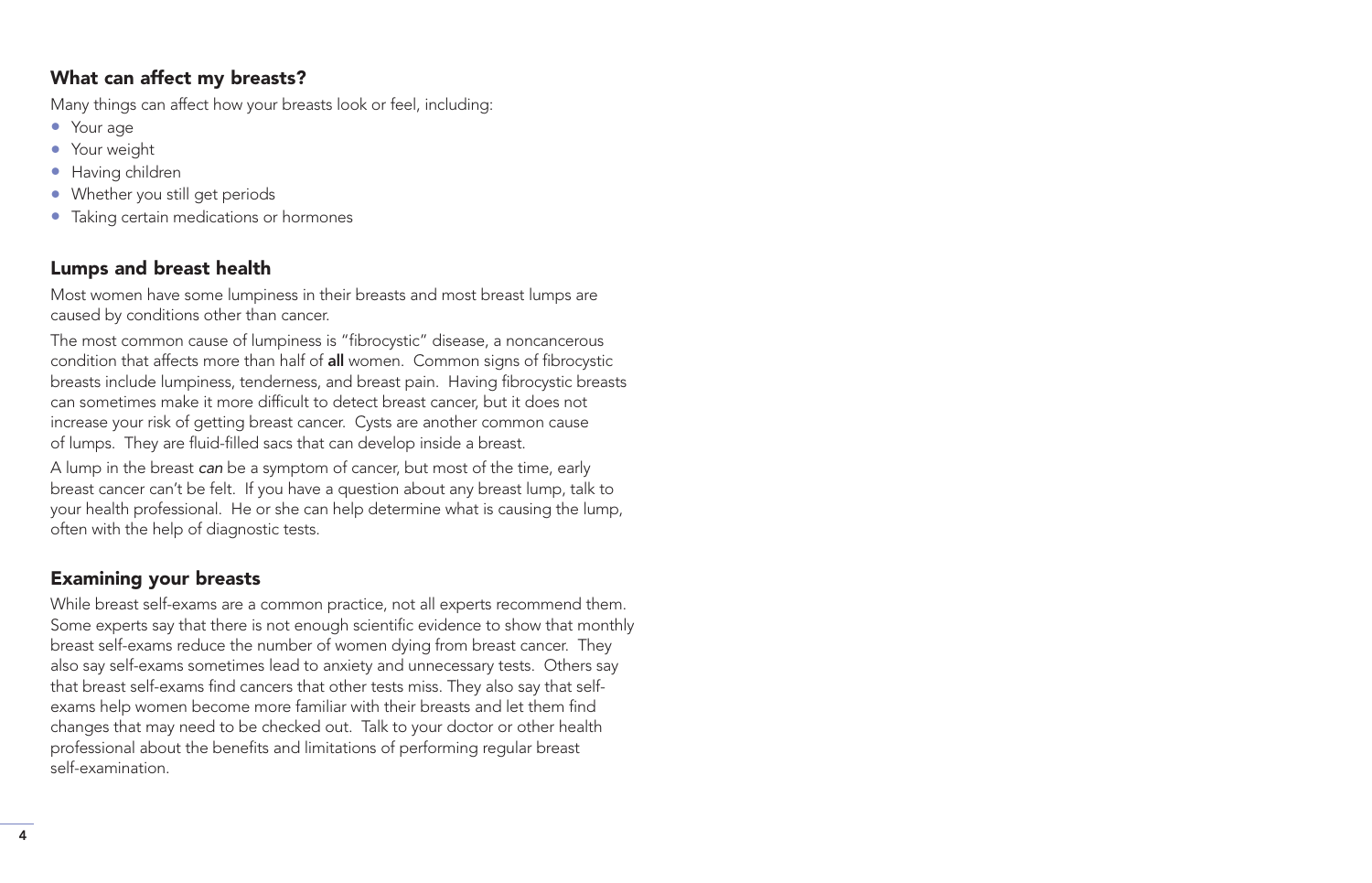# What can affect my breasts?

Many things can affect how your breasts look or feel, including:

- Your age
- Your weight
- Having children
- Whether you still get periods
- Taking certain medications or hormones

# Lumps and breast health

Most women have some lumpiness in their breasts and most breast lumps are caused by conditions other than cancer.

The most common cause of lumpiness is "fibrocystic" disease, a noncancerous condition that affects more than half of all women. Common signs of fibrocystic breasts include lumpiness, tenderness, and breast pain. Having fibrocystic breasts can sometimes make it more difficult to detect breast cancer, but it does not increase your risk of getting breast cancer. Cysts are another common cause of lumps. They are fluid-filled sacs that can develop inside a breast.

A lump in the breast can be a symptom of cancer, but most of the time, early breast cancer can't be felt. If you have a question about any breast lump, talk to your health professional. He or she can help determine what is causing the lump, often with the help of diagnostic tests.

# Examining your breasts

While breast self-exams are a common practice, not all experts recommend them. Some experts say that there is not enough scientific evidence to show that monthly breast self-exams reduce the number of women dying from breast cancer. They also say self-exams sometimes lead to anxiety and unnecessary tests. Others say that breast self-exams find cancers that other tests miss. They also say that selfexams help women become more familiar with their breasts and let them find changes that may need to be checked out. Talk to your doctor or other health professional about the benefits and limitations of performing regular breast self-examination.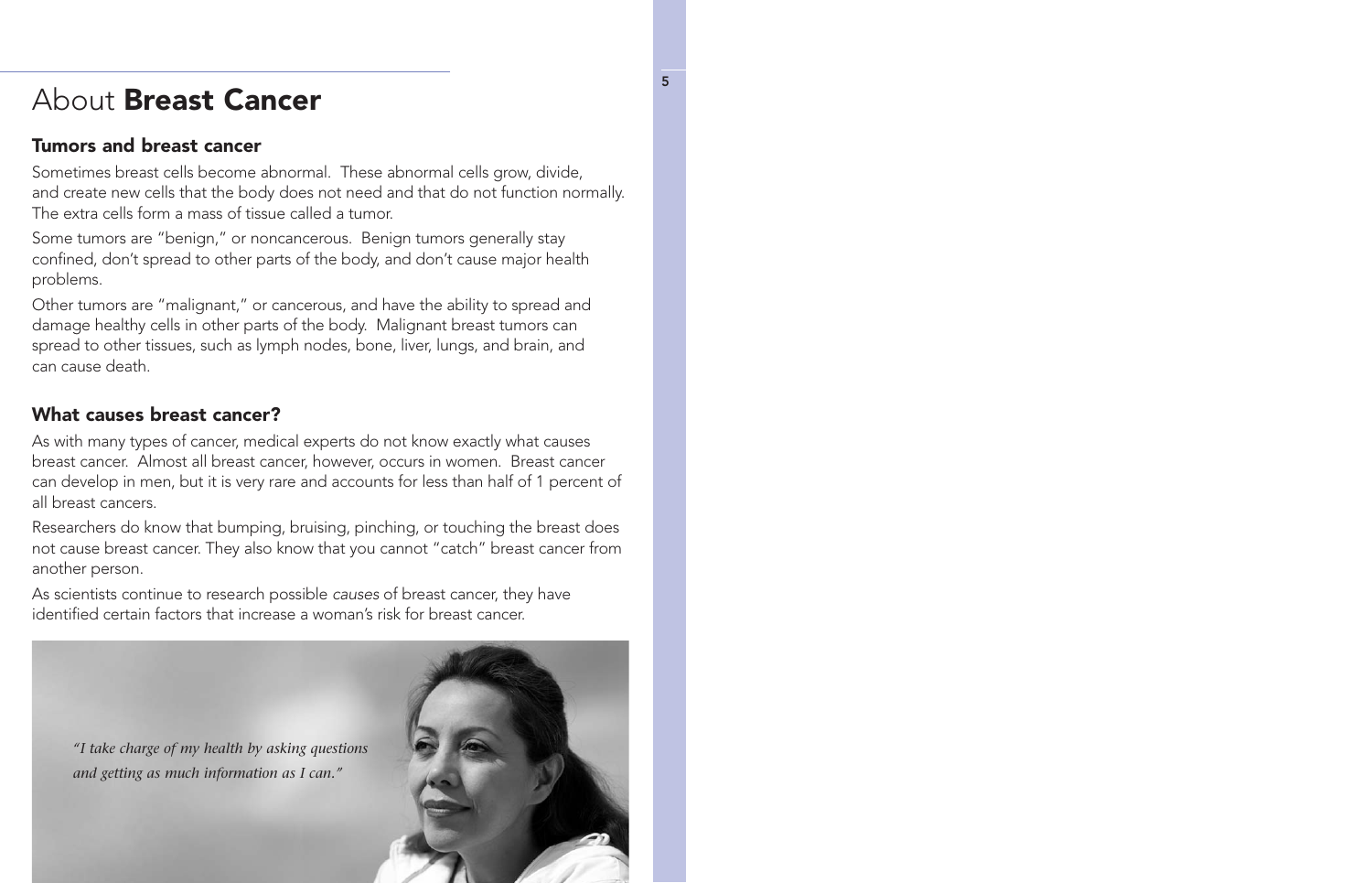# <span id="page-6-0"></span>About Breast Cancer

### Tumors and breast cancer

Sometimes breast cells become abnormal. These abnormal cells grow, divide, and create new cells that the body does not need and that do not function normally. The extra cells form a mass of tissue called a tumor.

Some tumors are "benign," or noncancerous. Benign tumors generally stay confined, don't spread to other parts of the body, and don't cause major health problems.

Other tumors are "malignant," or cancerous, and have the ability to spread and damage healthy cells in other parts of the body. Malignant breast tumors can spread to other tissues, such as lymph nodes, bone, liver, lungs, and brain, and can cause death.

# What causes breast cancer?

As with many types of cancer, medical experts do not know exactly what causes breast cancer. Almost all breast cancer, however, occurs in women. Breast cancer can develop in men, but it is very rare and accounts for less than half of 1 percent of all breast cancers.

Researchers do know that bumping, bruising, pinching, or touching the breast does not cause breast cancer. They also know that you cannot "catch" breast cancer from another person.

As scientists continue to research possible causes of breast cancer, they have identified certain factors that increase a woman's risk for breast cancer.

*"I take charge of my health by asking questions and getting as much information as I can."*

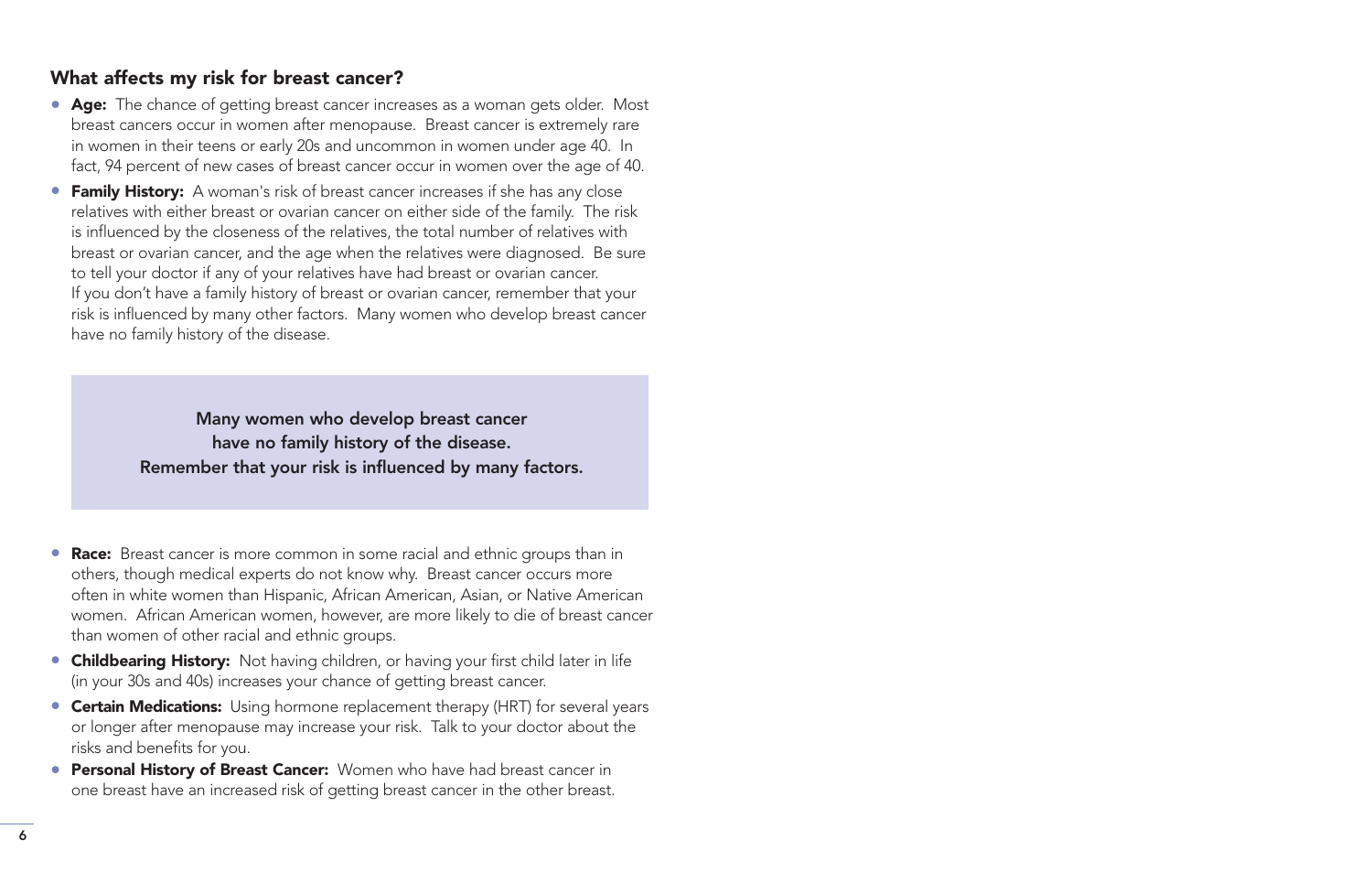#### What affects my risk for breast cancer?

- Age: The chance of getting breast cancer increases as a woman gets older. Most breast cancers occur in women after menopause. Breast cancer is extremely rare in women in their teens or early 20s and uncommon in women under age 40. In fact, 94 percent of new cases of breast cancer occur in women over the age of 40.
- Family History: A woman's risk of breast cancer increases if she has any close relatives with either breast or ovarian cancer on either side of the family. The risk is influenced by the closeness of the relatives, the total number of relatives with breast or ovarian cancer, and the age when the relatives were diagnosed. Be sure to tell your doctor if any of your relatives have had breast or ovarian cancer. If you don't have a family history of breast or ovarian cancer, remember that your risk is influenced by many other factors. Many women who develop breast cancer have no family history of the disease.

Many women who develop breast cancer have no family history of the disease. Remember that your risk is influenced by many factors.

- Race: Breast cancer is more common in some racial and ethnic groups than in others, though medical experts do not know why. Breast cancer occurs more often in white women than Hispanic, African American, Asian, or Native American women. African American women, however, are more likely to die of breast cancer than women of other racial and ethnic groups.
- Childbearing History: Not having children, or having your first child later in life (in your 30s and 40s) increases your chance of getting breast cancer.
- **Certain Medications:** Using hormone replacement therapy (HRT) for several years or longer after menopause may increase your risk. Talk to your doctor about the risks and benefits for you.
- **Personal History of Breast Cancer:** Women who have had breast cancer in one breast have an increased risk of getting breast cancer in the other breast.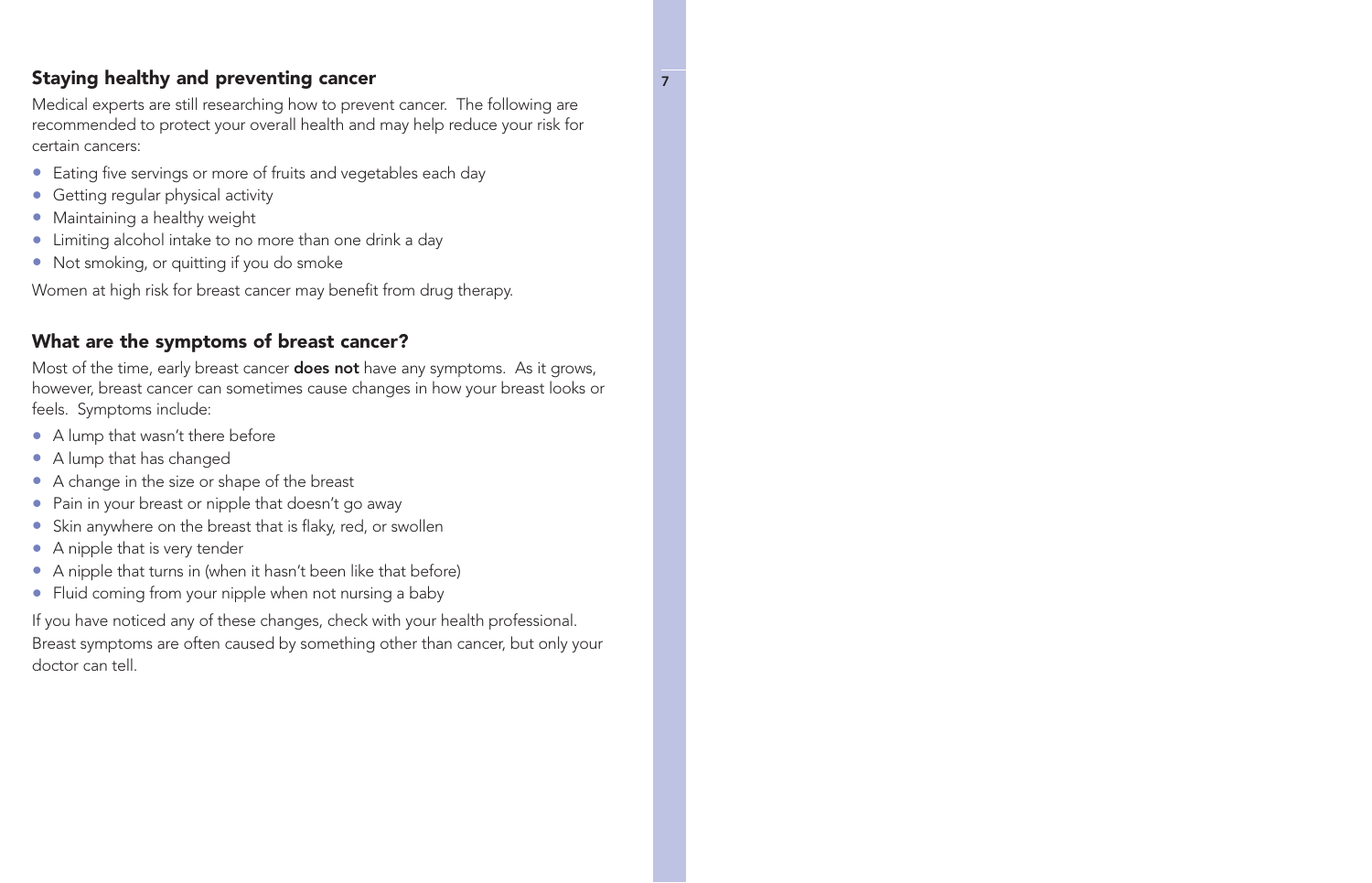#### Staying healthy and preventing cancer **7** and  $\frac{1}{7}$

Medical experts are still researching how to prevent cancer. The following are recommended to protect your overall health and may help reduce your risk for certain cancers:

- Eating five servings or more of fruits and vegetables each day
- Getting regular physical activity
- Maintaining a healthy weight
- Limiting alcohol intake to no more than one drink a day
- Not smoking, or quitting if you do smoke

Women at high risk for breast cancer may benefit from drug therapy.

#### What are the symptoms of breast cancer?

Most of the time, early breast cancer **does not** have any symptoms. As it grows, however, breast cancer can sometimes cause changes in how your breast looks or feels. Symptoms include:

- A lump that wasn't there before
- A lump that has changed
- A change in the size or shape of the breast
- Pain in your breast or nipple that doesn't go away
- Skin anywhere on the breast that is flaky, red, or swollen
- A nipple that is very tender
- A nipple that turns in (when it hasn't been like that before)
- Fluid coming from your nipple when not nursing a baby

If you have noticed any of these changes, check with your health professional. Breast symptoms are often caused by something other than cancer, but only your doctor can tell.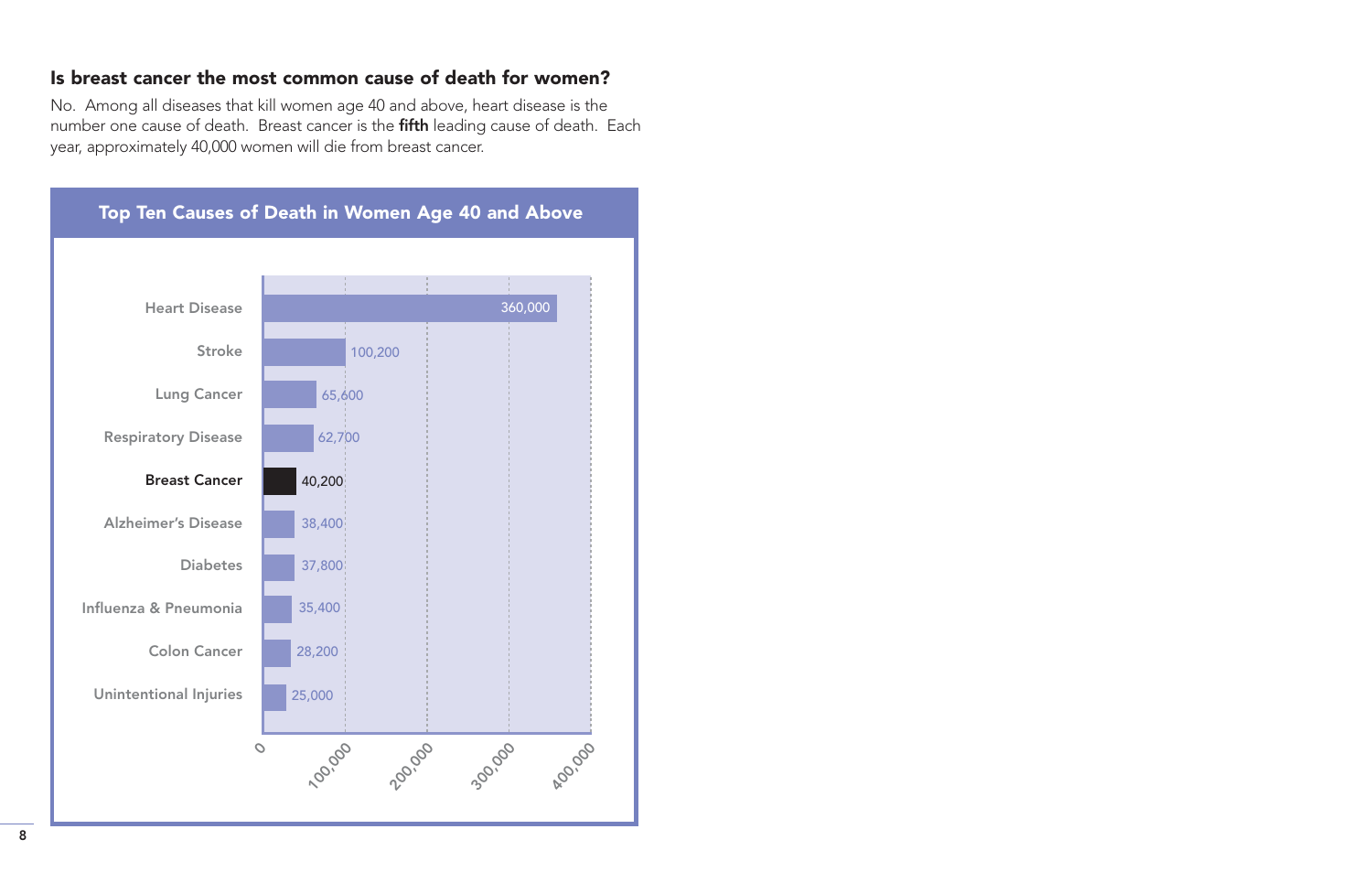#### Is breast cancer the most common cause of death for women?

No. Among all diseases that kill women age 40 and above, heart disease is the number one cause of death. Breast cancer is the fifth leading cause of death. Each year, approximately 40,000 women will die from breast cancer.

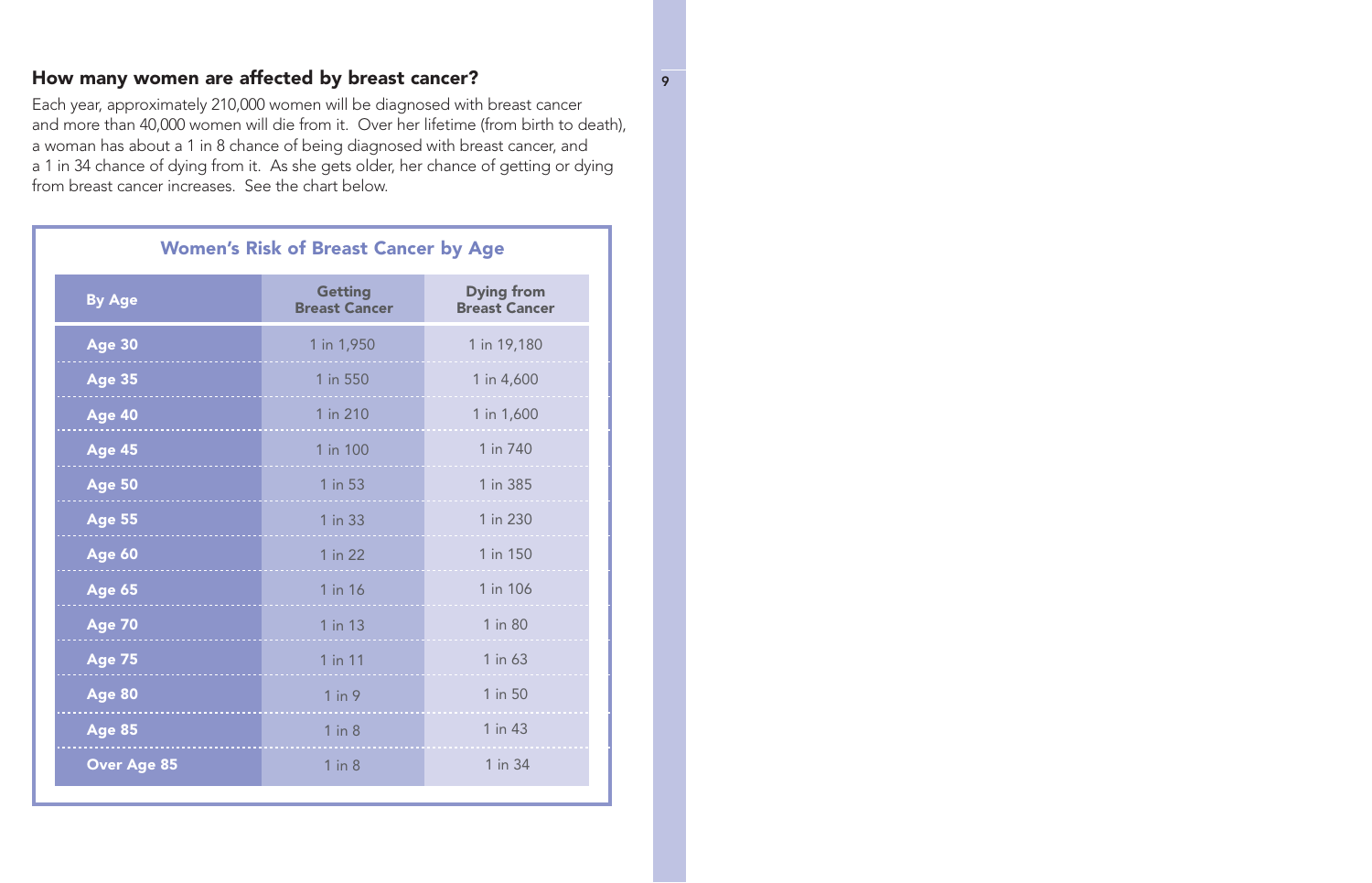#### How many women are affected by breast cancer?

Each year, approximately 210,000 women will be diagnosed with breast cancer and more than 40,000 women will die from it. Over her lifetime (from birth to death), a woman has about a 1 in 8 chance of being diagnosed with breast cancer, and a 1 in 34 chance of dying from it. As she gets older, her chance of getting or dying from breast cancer increases. See the chart below.

| <b>Women's Risk of Breast Cancer by Age</b> |                                        |                                           |  |
|---------------------------------------------|----------------------------------------|-------------------------------------------|--|
| <b>By Age</b>                               | <b>Getting</b><br><b>Breast Cancer</b> | <b>Dying from</b><br><b>Breast Cancer</b> |  |
| <b>Age 30</b>                               | 1 in 1,950                             | 1 in 19,180                               |  |
| <b>Age 35</b>                               | 1 in 550                               | 1 in 4,600                                |  |
| <b>Age 40</b>                               | 1 in 210                               | 1 in 1,600                                |  |
| <b>Age 45</b>                               | 1 in 100                               | 1 in 740                                  |  |
| <b>Age 50</b>                               | 1 in 53                                | 1 in 385                                  |  |
| <b>Age 55</b>                               | 1 in 33                                | 1 in 230                                  |  |
| <b>Age 60</b>                               | 1 in 22                                | 1 in 150                                  |  |
| <b>Age 65</b>                               | 1 in 16                                | 1 in 106                                  |  |
| <b>Age 70</b>                               | 1 in 13                                | 1 in 80                                   |  |
| <b>Age 75</b>                               | 1 in 11                                | 1 in 63                                   |  |
| <b>Age 80</b>                               | $1$ in $9$                             | 1 in 50                                   |  |
| <b>Age 85</b>                               | $1$ in $8$                             | 1 in 43                                   |  |
| <b>Over Age 85</b>                          | $1$ in $8$                             | 1 in 34                                   |  |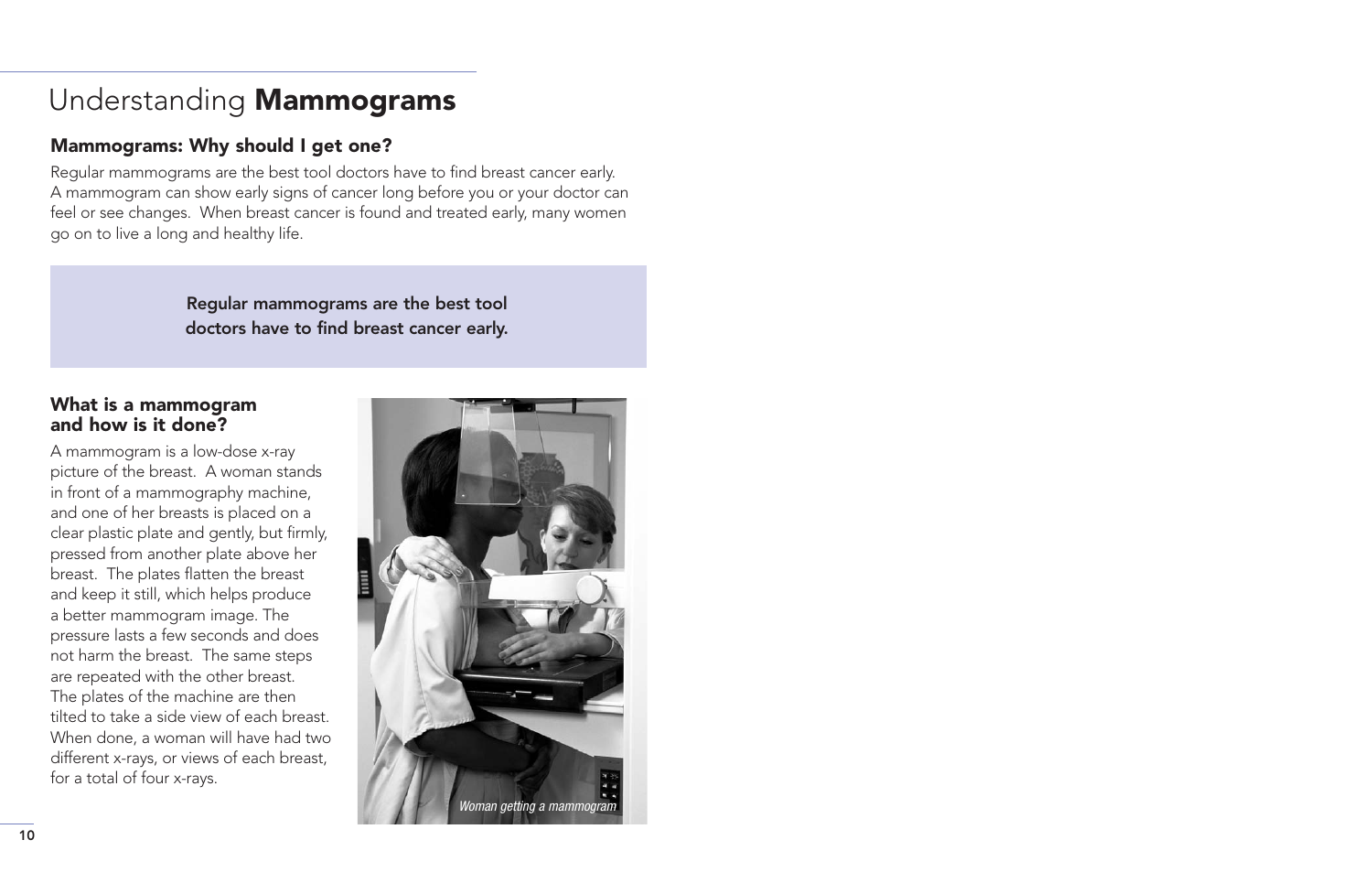# <span id="page-11-0"></span>Understanding Mammograms

# Mammograms: Why should I get one?

Regular mammograms are the best tool doctors have to find breast cancer early. A mammogram can show early signs of cancer long before you or your doctor can feel or see changes. When breast cancer is found and treated early, many women go on to live a long and healthy life.

> Regular mammograms are the best tool doctors have to find breast cancer early.

#### What is a mammogram and how is it done?

A mammogram is a low-dose x-ray picture of the breast. A woman stands in front of a mammography machine, and one of her breasts is placed on a clear plastic plate and gently, but firmly, pressed from another plate above her breast. The plates flatten the breast and keep it still, which helps produce a better mammogram image. The pressure lasts a few seconds and does not harm the breast. The same steps are repeated with the other breast. The plates of the machine are then tilted to take a side view of each breast. When done, a woman will have had two different x-rays, or views of each breast, for a total of four x-rays.

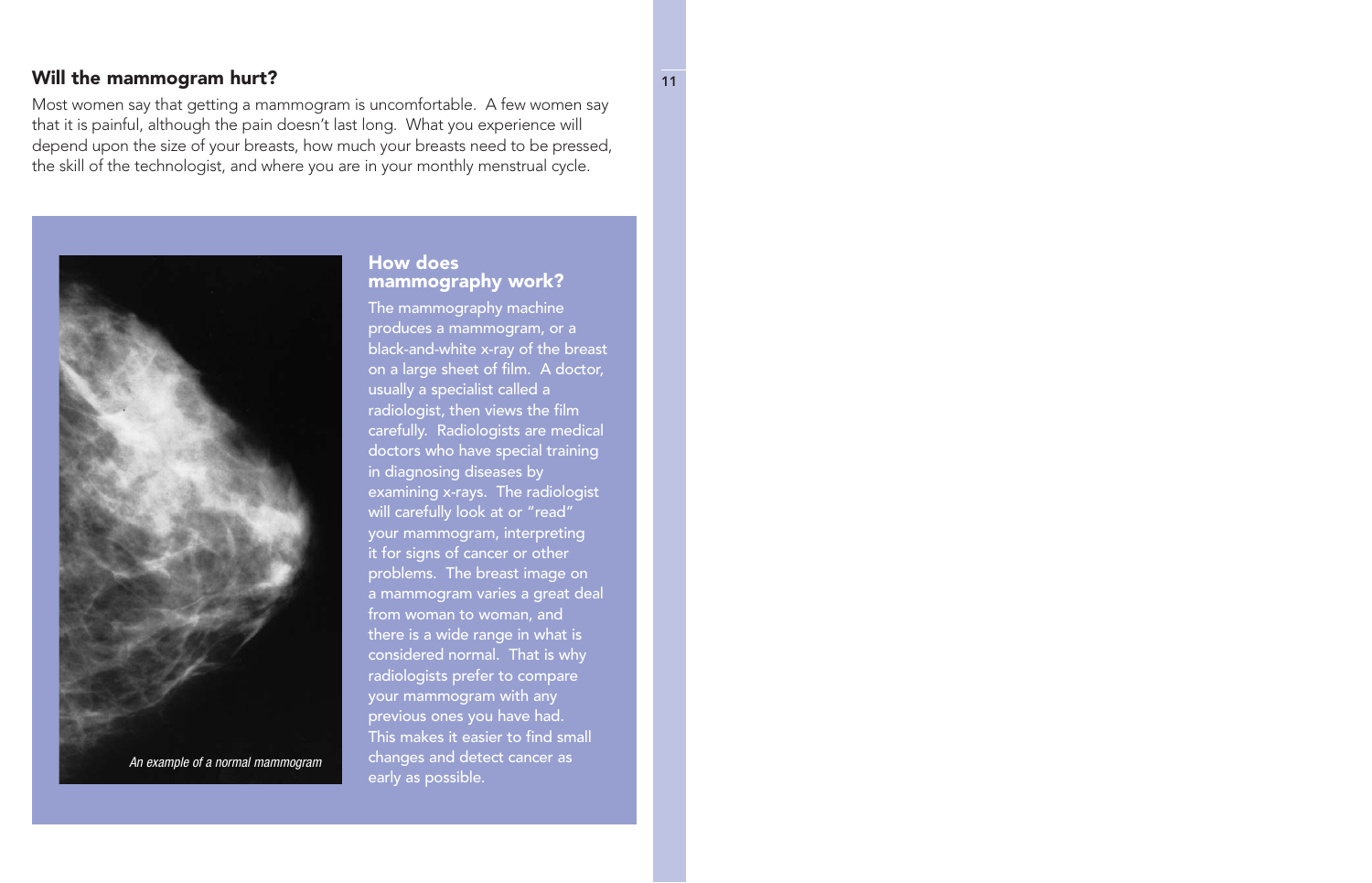#### Will the mammogram hurt? 11

Most women say that getting a mammogram is uncomfortable. A few women say that it is painful, although the pain doesn't last long. What you experience will depend upon the size of your breasts, how much your breasts need to be pressed, the skill of the technologist, and where you are in your monthly menstrual cycle.



#### How does mammography work?

The mammography machine produces a mammogram, or a black-and-white x-ray of the breast on a large sheet of film. A doctor, usually a specialist called a radiologist, then views the film carefully. Radiologists are medical doctors who have special training in diagnosing diseases by examining x-rays. The radiologist will carefully look at or "read" your mammogram, interpreting it for signs of cancer or other problems. The breast image on a mammogram varies a great deal from woman to woman, and there is a wide range in what is considered normal. That is why radiologists prefer to compare your mammogram with any previous ones you have had. This makes it easier to find small changes and detect cancer as early as possible.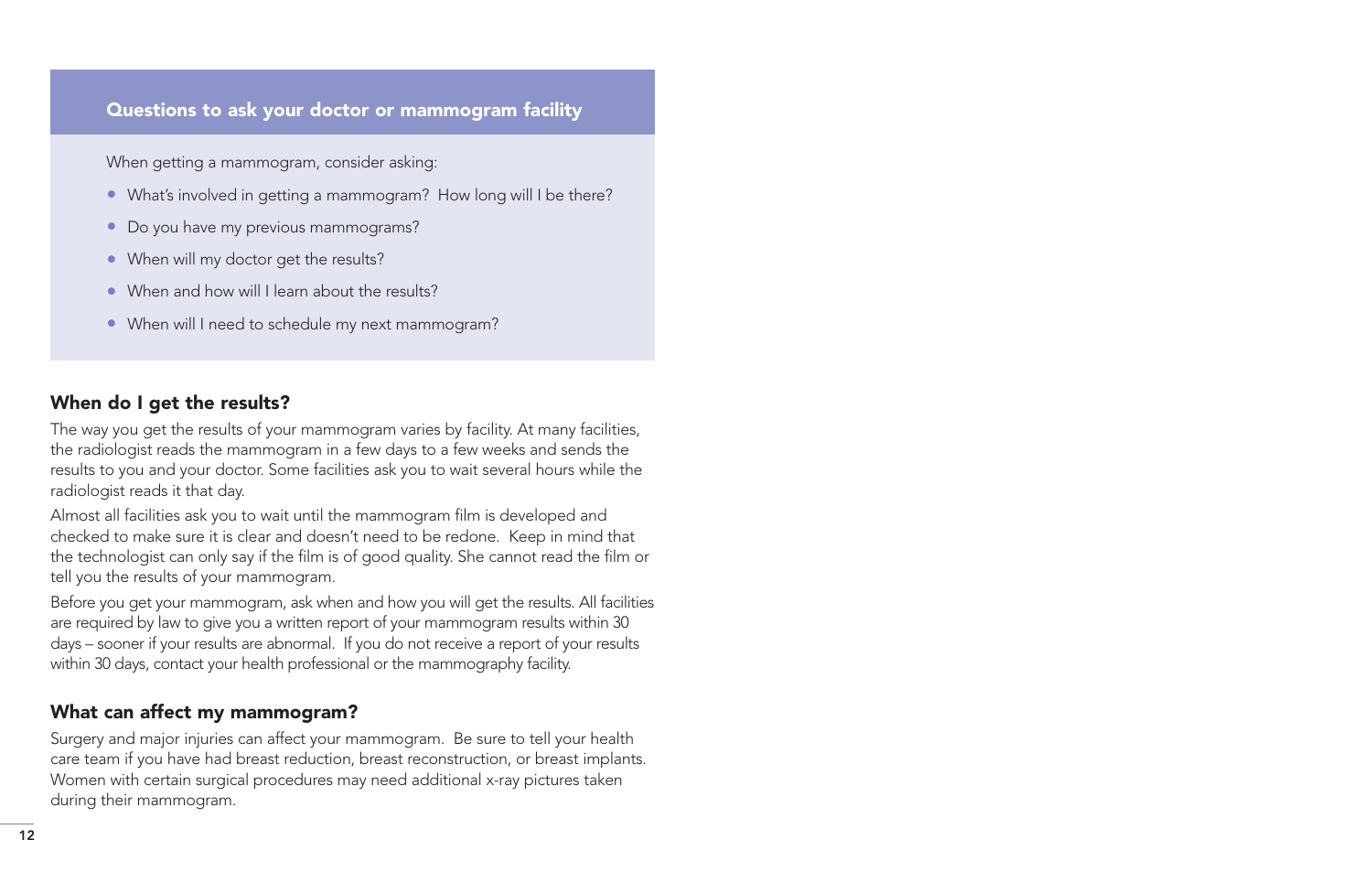#### Questions to ask your doctor or mammogram facility

When getting a mammogram, consider asking:

- What's involved in getting a mammogram? How long will I be there?
- Do you have my previous mammograms?
- When will my doctor get the results?
- When and how will I learn about the results?
- When will I need to schedule my next mammogram?

# When do I get the results?

The way you get the results of your mammogram varies by facility. At many facilities, the radiologist reads the mammogram in a few days to a few weeks and sends the results to you and your doctor. Some facilities ask you to wait several hours while the radiologist reads it that day.

Almost all facilities ask you to wait until the mammogram film is developed and checked to make sure it is clear and doesn't need to be redone. Keep in mind that the technologist can only say if the film is of good quality. She cannot read the film or tell you the results of your mammogram.

Before you get your mammogram, ask when and how you will get the results. All facilities are required by law to give you a written report of your mammogram results within 30 days – sooner if your results are abnormal. If you do not receive a report of your results within 30 days, contact your health professional or the mammography facility.

#### What can affect my mammogram?

Surgery and major injuries can affect your mammogram. Be sure to tell your health care team if you have had breast reduction, breast reconstruction, or breast implants. Women with certain surgical procedures may need additional x-ray pictures taken during their mammogram.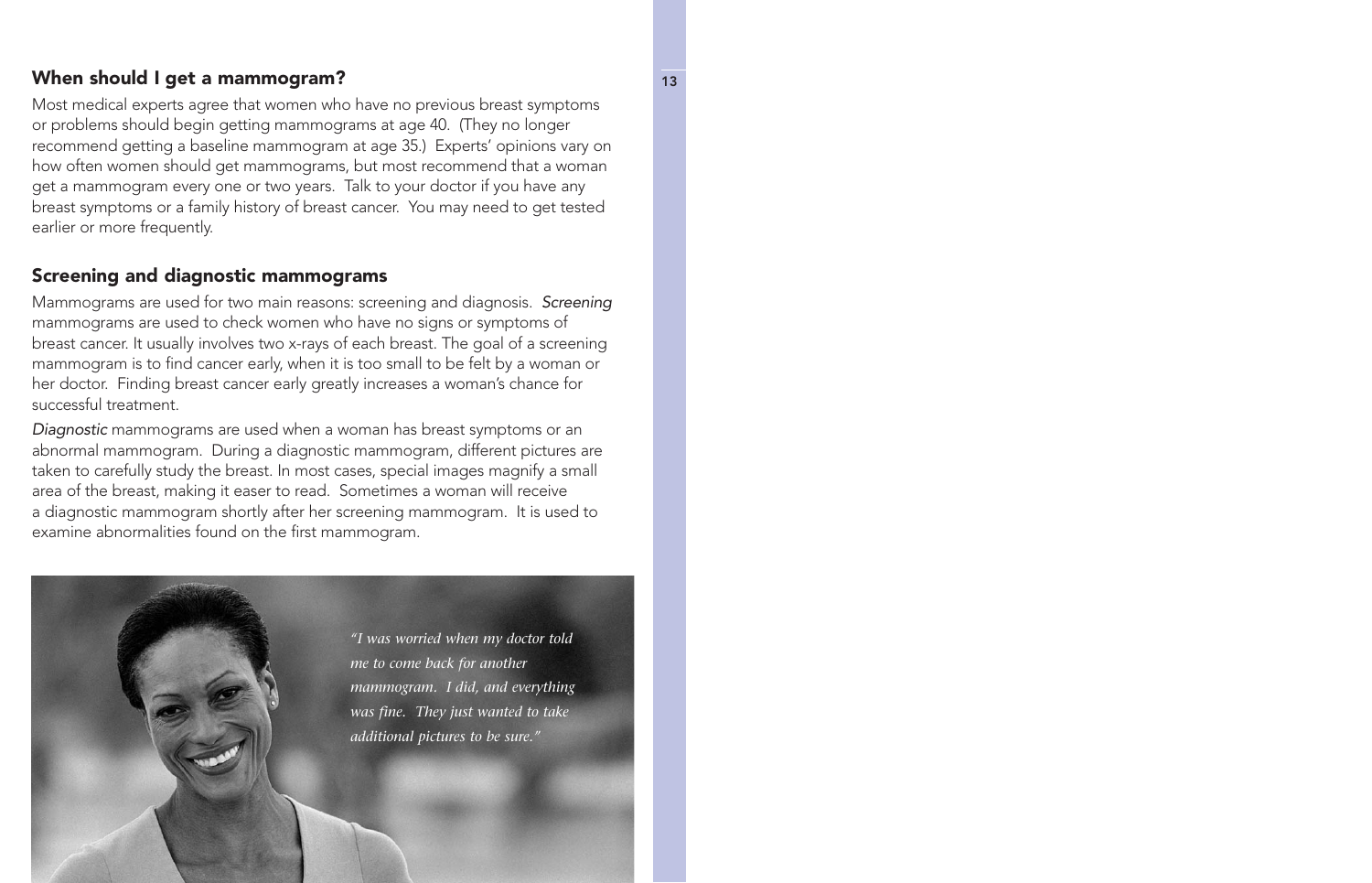#### When should I get a mammogram? The state of the state of the state of the state of the state of the state of the state of the state of the state of the state of the state of the state of the state of the state of the state

Most medical experts agree that women who have no previous breast symptoms or problems should begin getting mammograms at age 40. (They no longer recommend getting a baseline mammogram at age 35.) Experts' opinions vary on how often women should get mammograms, but most recommend that a woman get a mammogram every one or two years. Talk to your doctor if you have any breast symptoms or a family history of breast cancer. You may need to get tested earlier or more frequently.

#### Screening and diagnostic mammograms

Mammograms are used for two main reasons: screening and diagnosis. Screening mammograms are used to check women who have no signs or symptoms of breast cancer. It usually involves two x-rays of each breast. The goal of a screening mammogram is to find cancer early, when it is too small to be felt by a woman or her doctor. Finding breast cancer early greatly increases a woman's chance for successful treatment.

Diagnostic mammograms are used when a woman has breast symptoms or an abnormal mammogram. During a diagnostic mammogram, different pictures are taken to carefully study the breast. In most cases, special images magnify a small area of the breast, making it easer to read. Sometimes a woman will receive a diagnostic mammogram shortly after her screening mammogram. It is used to examine abnormalities found on the first mammogram.

> *"I was worried when my doctor told me to come back for another mammogram. I did, and everything was fine. They just wanted to take additional pictures to be sure."*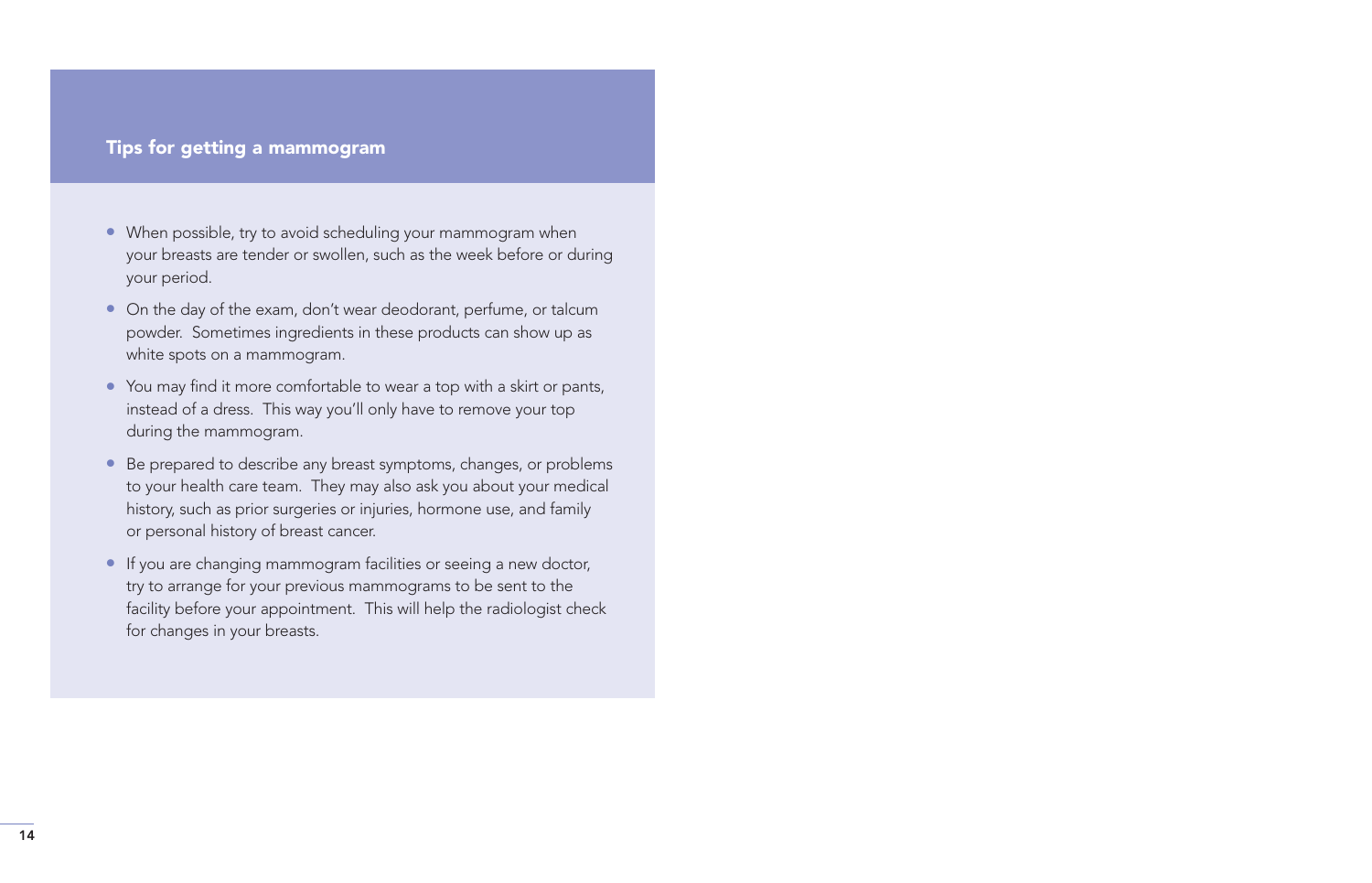#### Tips for getting a mammogram

- When possible, try to avoid scheduling your mammogram when your breasts are tender or swollen, such as the week before or during your period.
- On the day of the exam, don't wear deodorant, perfume, or talcum powder. Sometimes ingredients in these products can show up as white spots on a mammogram.
- You may find it more comfortable to wear a top with a skirt or pants, instead of a dress. This way you'll only have to remove your top during the mammogram.
- Be prepared to describe any breast symptoms, changes, or problems to your health care team. They may also ask you about your medical history, such as prior surgeries or injuries, hormone use, and family or personal history of breast cancer.
- If you are changing mammogram facilities or seeing a new doctor, try to arrange for your previous mammograms to be sent to the facility before your appointment. This will help the radiologist check for changes in your breasts.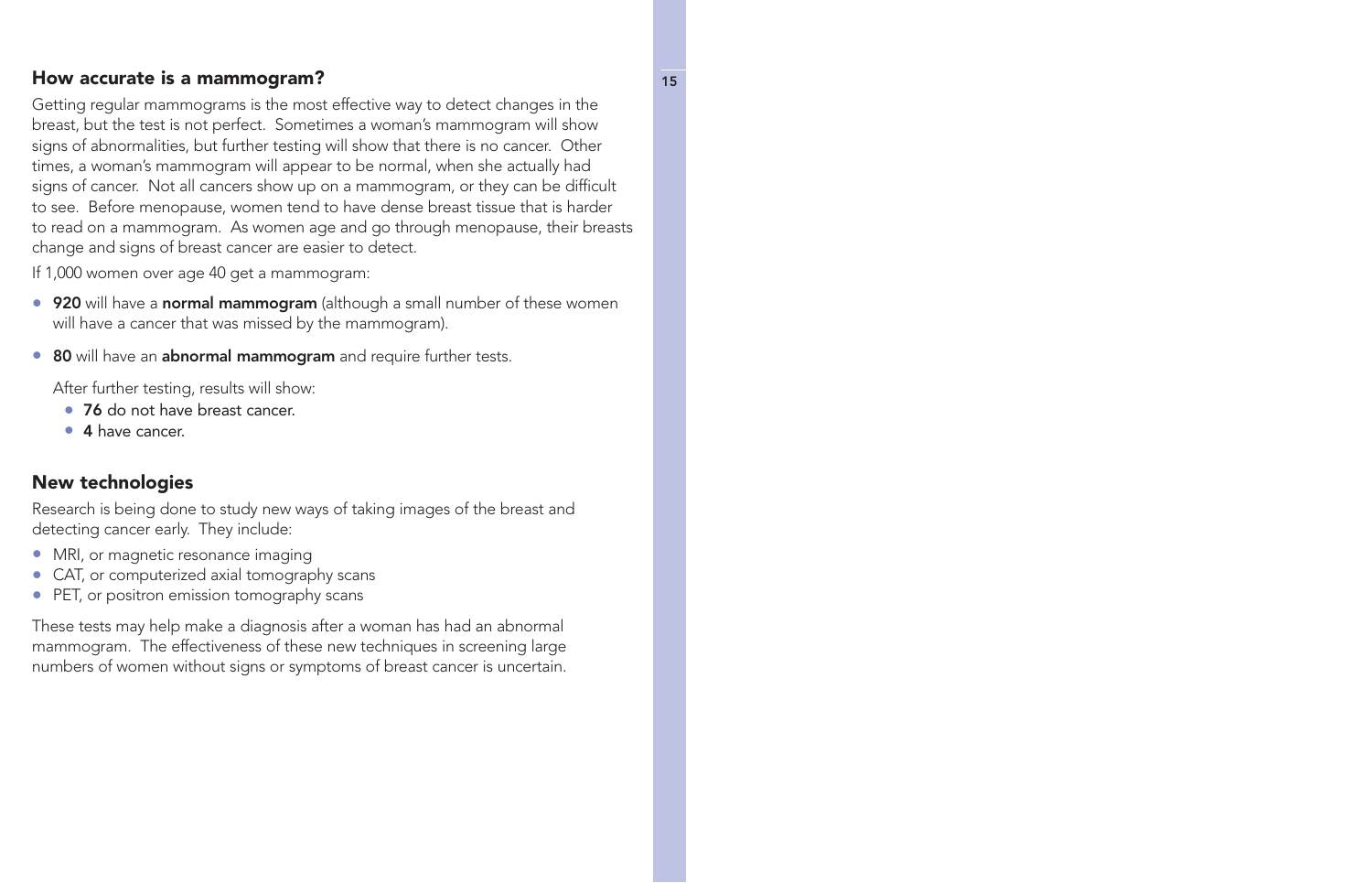### How accurate is a mammogram? The state of the state of the state of the state of the state of the state of the state of the state of the state of the state of the state of the state of the state of the state of the state o

Getting regular mammograms is the most effective way to detect changes in the breast, but the test is not perfect. Sometimes a woman's mammogram will show signs of abnormalities, but further testing will show that there is no cancer. Other times, a woman's mammogram will appear to be normal, when she actually had signs of cancer. Not all cancers show up on a mammogram, or they can be difficult to see. Before menopause, women tend to have dense breast tissue that is harder to read on a mammogram. As women age and go through menopause, their breasts change and signs of breast cancer are easier to detect.

If 1,000 women over age 40 get a mammogram:

- 920 will have a normal mammogram (although a small number of these women will have a cancer that was missed by the mammogram).
- 80 will have an **abnormal mammogram** and require further tests.

After further testing, results will show:

- 76 do not have breast cancer.
- 4 have cancer.

### New technologies

Research is being done to study new ways of taking images of the breast and detecting cancer early. They include:

- MRI, or magnetic resonance imaging
- CAT, or computerized axial tomography scans
- PET, or positron emission tomography scans

These tests may help make a diagnosis after a woman has had an abnormal mammogram. The effectiveness of these new techniques in screening large numbers of women without signs or symptoms of breast cancer is uncertain.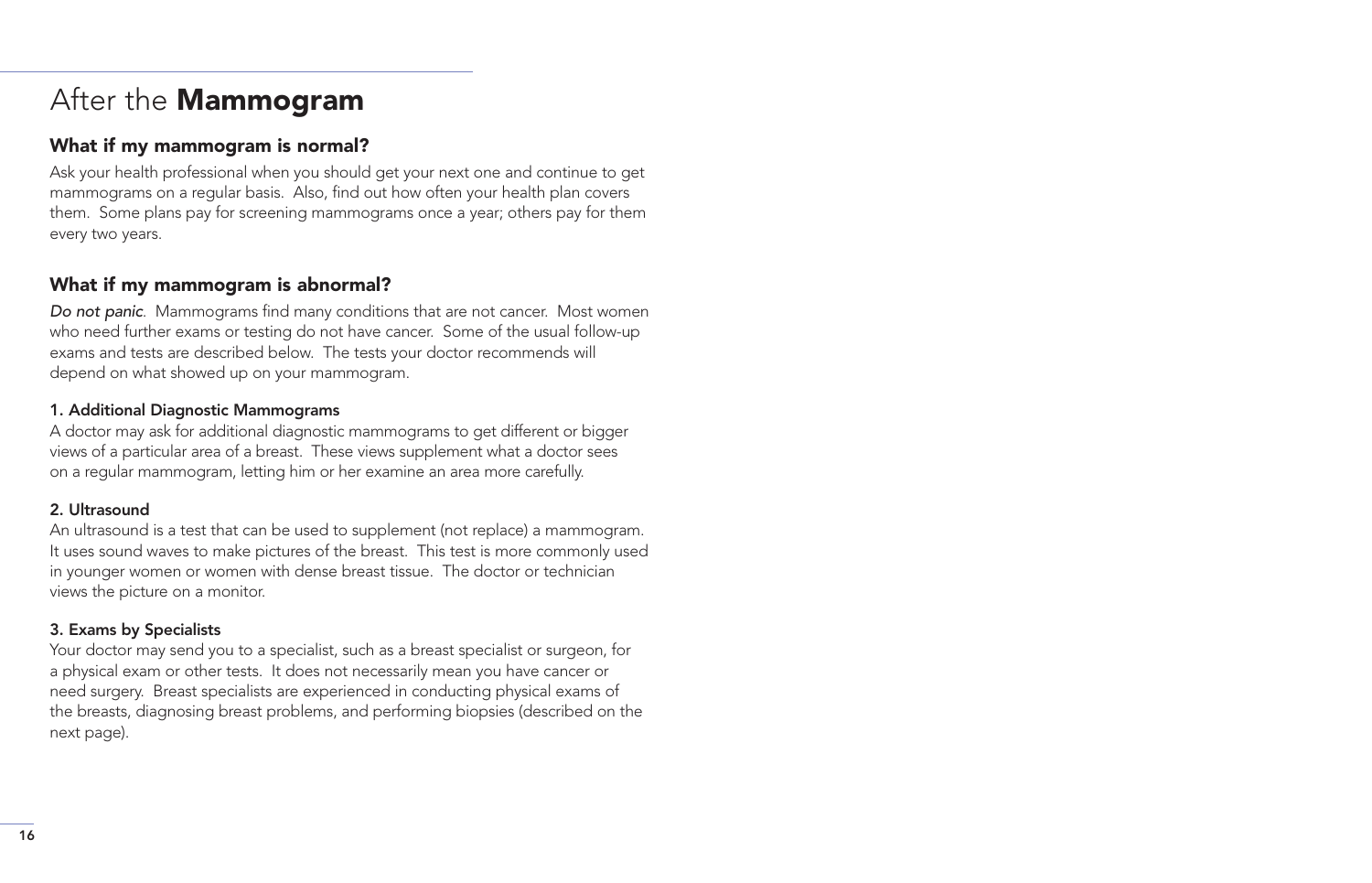# <span id="page-17-0"></span>After the **Mammogram**

# What if my mammogram is normal?

Ask your health professional when you should get your next one and continue to get mammograms on a regular basis. Also, find out how often your health plan covers them. Some plans pay for screening mammograms once a year; others pay for them every two years.

### What if my mammogram is abnormal?

Do not panic. Mammograms find many conditions that are not cancer. Most women who need further exams or testing do not have cancer. Some of the usual follow-up exams and tests are described below. The tests your doctor recommends will depend on what showed up on your mammogram.

#### 1. Additional Diagnostic Mammograms

A doctor may ask for additional diagnostic mammograms to get different or bigger views of a particular area of a breast. These views supplement what a doctor sees on a regular mammogram, letting him or her examine an area more carefully.

#### 2. Ultrasound

An ultrasound is a test that can be used to supplement (not replace) a mammogram. It uses sound waves to make pictures of the breast. This test is more commonly used in younger women or women with dense breast tissue. The doctor or technician views the picture on a monitor.

#### 3. Exams by Specialists

Your doctor may send you to a specialist, such as a breast specialist or surgeon, for a physical exam or other tests. It does not necessarily mean you have cancer or need surgery. Breast specialists are experienced in conducting physical exams of the breasts, diagnosing breast problems, and performing biopsies (described on the next page).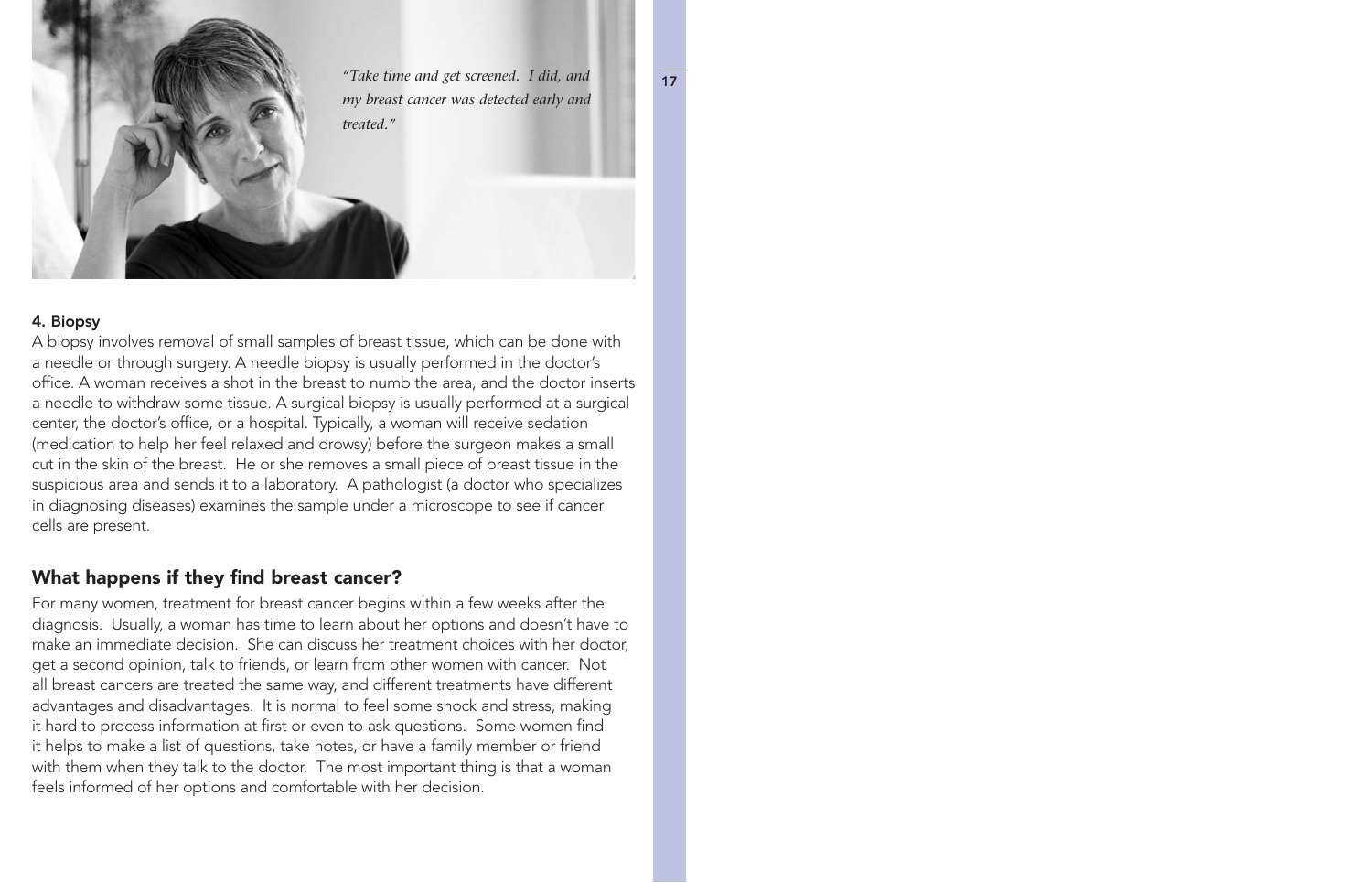*"Take time and get screened. I did, and my breast cancer was detected early and treated."*

#### 4. Biopsy

A biopsy involves removal of small samples of breast tissue, which can be done with a needle or through surgery. A needle biopsy is usually performed in the doctor's office. A woman receives a shot in the breast to numb the area, and the doctor inserts a needle to withdraw some tissue. A surgical biopsy is usually performed at a surgical center, the doctor's office, or a hospital. Typically, a woman will receive sedation (medication to help her feel relaxed and drowsy) before the surgeon makes a small cut in the skin of the breast. He or she removes a small piece of breast tissue in the suspicious area and sends it to a laboratory. A pathologist (a doctor who specializes in diagnosing diseases) examines the sample under a microscope to see if cancer cells are present.

#### What happens if they find breast cancer?

For many women, treatment for breast cancer begins within a few weeks after the diagnosis. Usually, a woman has time to learn about her options and doesn't have to make an immediate decision. She can discuss her treatment choices with her doctor, get a second opinion, talk to friends, or learn from other women with cancer. Not all breast cancers are treated the same way, and different treatments have different advantages and disadvantages. It is normal to feel some shock and stress, making it hard to process information at first or even to ask questions. Some women find it helps to make a list of questions, take notes, or have a family member or friend with them when they talk to the doctor. The most important thing is that a woman feels informed of her options and comfortable with her decision.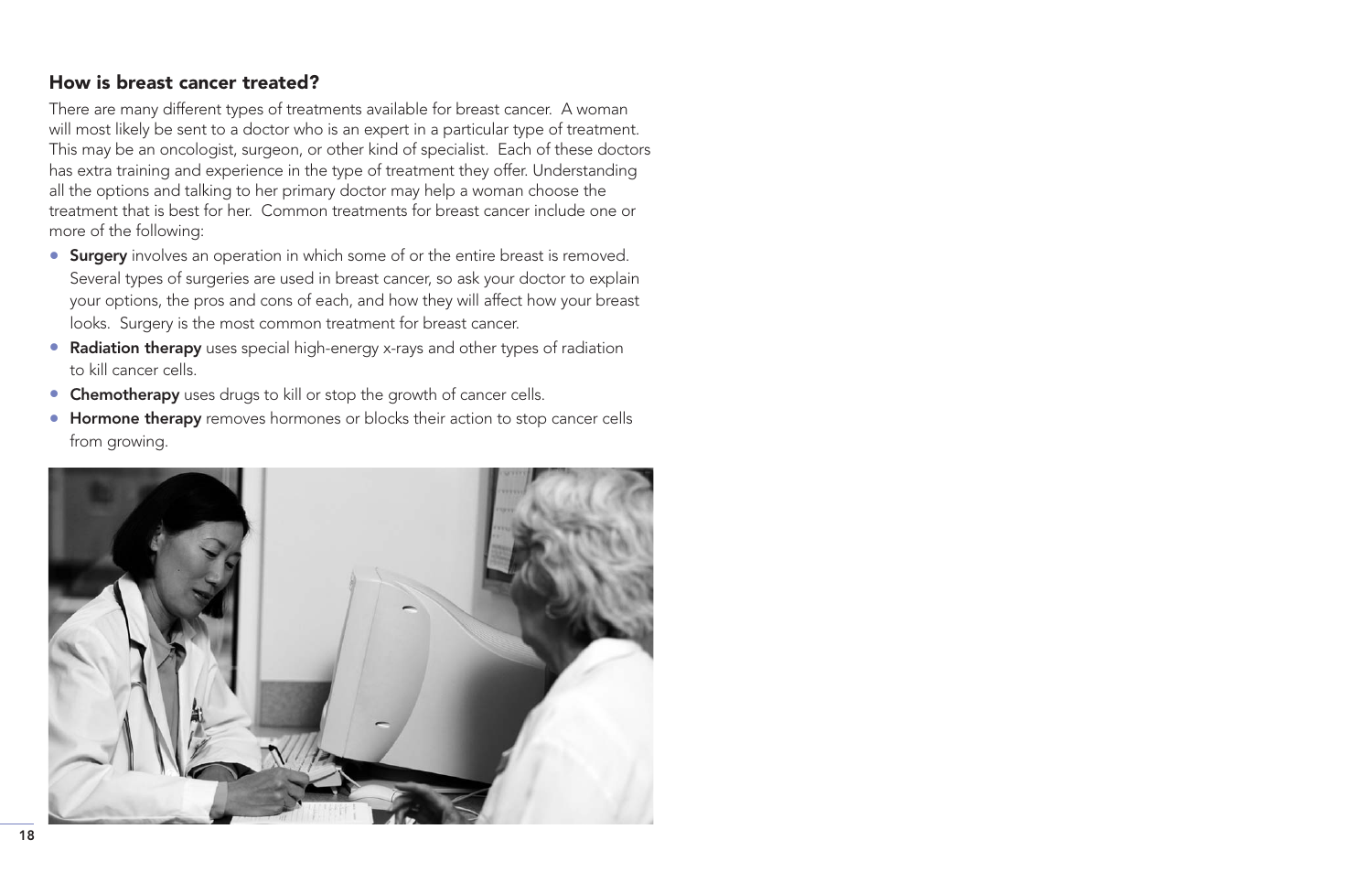# How is breast cancer treated?

There are many different types of treatments available for breast cancer. A woman will most likely be sent to a doctor who is an expert in a particular type of treatment. This may be an oncologist, surgeon, or other kind of specialist. Each of these doctors has extra training and experience in the type of treatment they offer. Understanding all the options and talking to her primary doctor may help a woman choose the treatment that is best for her. Common treatments for breast cancer include one or more of the following:

- Surgery involves an operation in which some of or the entire breast is removed. Several types of surgeries are used in breast cancer, so ask your doctor to explain your options, the pros and cons of each, and how they will affect how your breast looks. Surgery is the most common treatment for breast cancer.
- Radiation therapy uses special high-energy x-rays and other types of radiation to kill cancer cells.
- Chemotherapy uses drugs to kill or stop the growth of cancer cells.
- Hormone therapy removes hormones or blocks their action to stop cancer cells from growing.

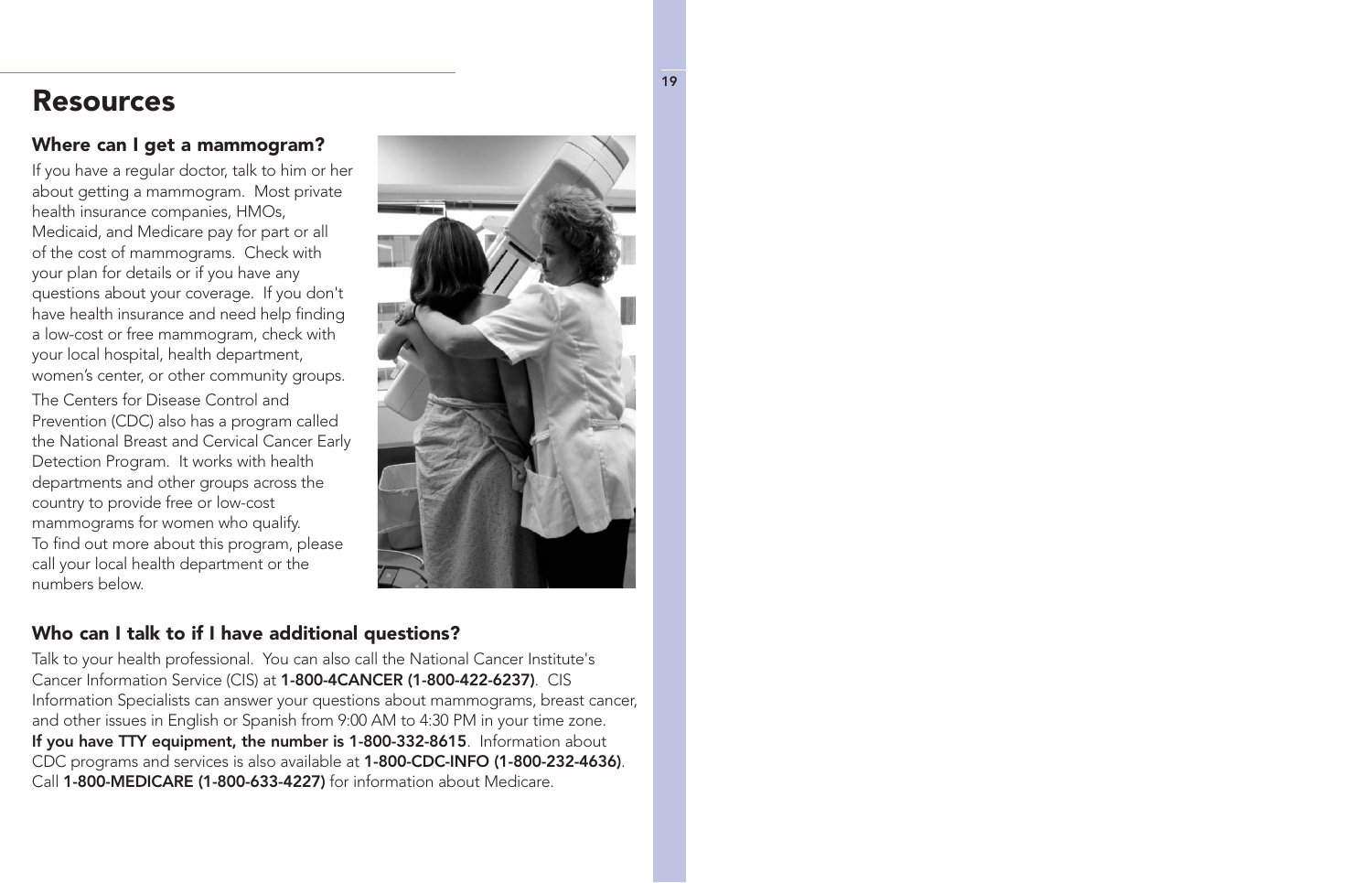# <span id="page-20-0"></span>Resources

# Where can I get a mammogram?

If you have a regular doctor, talk to him or her about getting a mammogram. Most private health insurance companies, HMOs, Medicaid, and Medicare pay for part or all of the cost of mammograms. Check with your plan for details or if you have any questions about your coverage. If you don't have health insurance and need help finding a low-cost or free mammogram, check with your local hospital, health department, women's center, or other community groups.

The Centers for Disease Control and Prevention (CDC) also has a program called the National Breast and Cervical Cancer Early Detection Program. It works with health departments and other groups across the country to provide free or low-cost mammograms for women who qualify. To find out more about this program, please call your local health department or the numbers below.



# Who can I talk to if I have additional questions?

Talk to your health professional. You can also call the National Cancer Institute's Cancer Information Service (CIS) at 1-800-4CANCER (1-800-422-6237). CIS Information Specialists can answer your questions about mammograms, breast cancer, and other issues in English or Spanish from 9:00 AM to 4:30 PM in your time zone. If you have TTY equipment, the number is 1-800-332-8615. Information about CDC programs and services is also available at 1-800-CDC-INFO (1-800-232-4636). Call 1-800-MEDICARE (1-800-633-4227) for information about Medicare.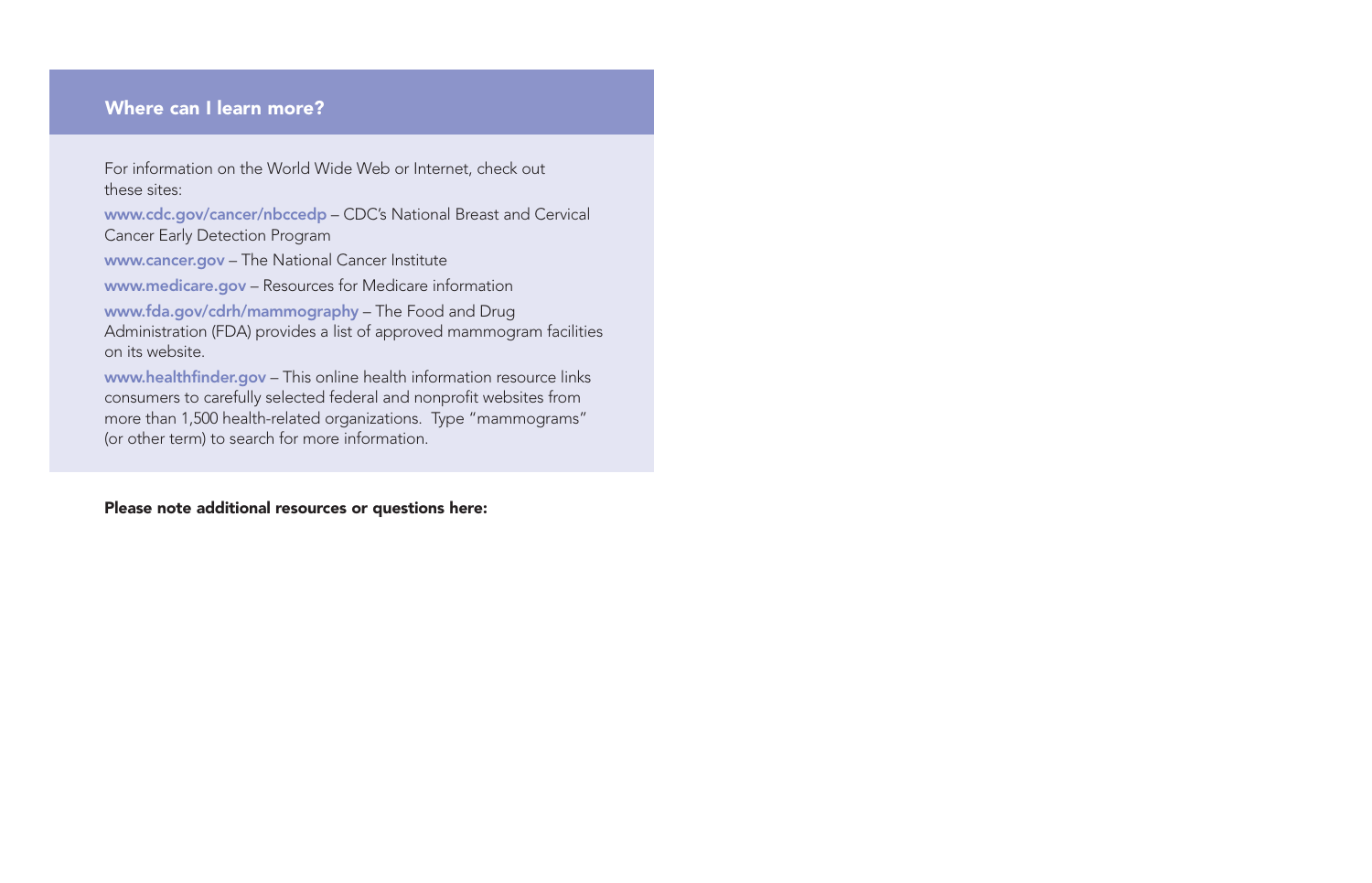#### Where can I learn more?

For information on the World Wide Web or Internet, check out these sites:

[www.cdc.gov/cancer/nbccedp](http://www.cdc.gov/cancer/nbccedp) – CDC's National Breast and Cervical Cancer Early Detection Program

[www.cancer.gov](http://www.cancer.gov) – The National Cancer Institute

[www.medicare.gov](http://www.medicare.gov) – Resources for Medicare information

[www.fda.gov/cdrh/mammography](http://www.fda.gov/cdrh/mammography) – The Food and Drug Administration (FDA) provides a list of approved mammogram facilities on its website.

[www.healthfinder.gov](http://www.healthfinder.gov) - This online health information resource links consumers to carefully selected federal and nonprofit websites from more than 1,500 health-related organizations. Type "mammograms" (or other term) to search for more information.

#### Please note additional resources or questions here: